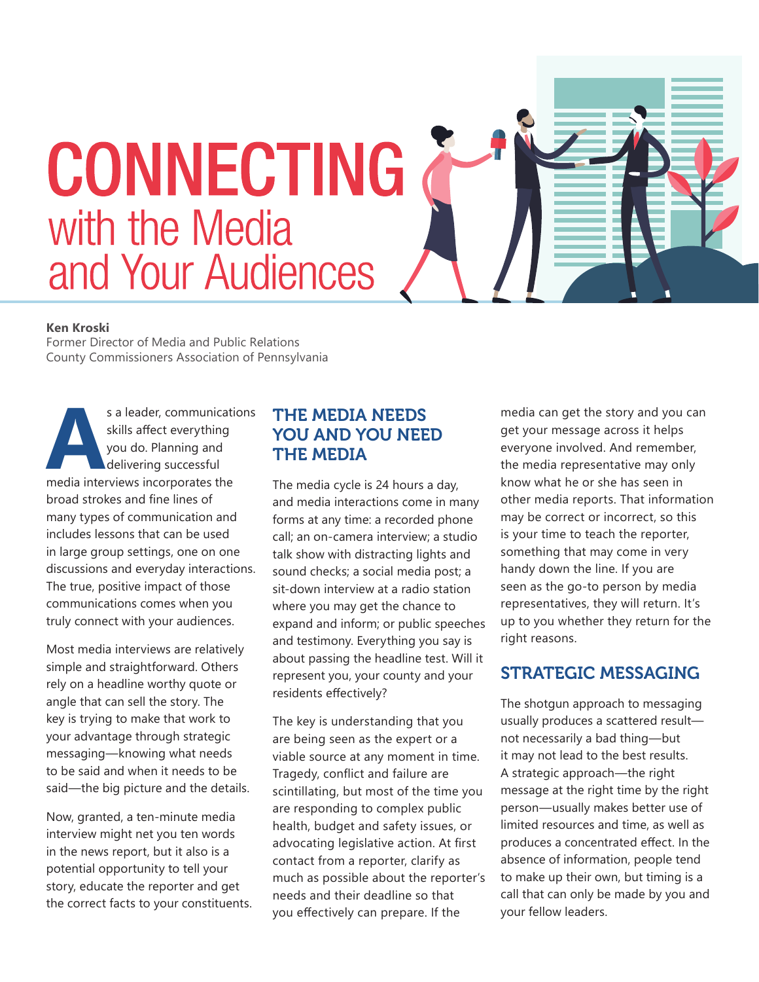

#### **Ken Kroski**

Former Director of Media and Public Relations County Commissioners Association of Pennsylvania

s a leader, communications<br>
skills affect everything<br>
you do. Planning and<br>
delivering successful<br>
media interviews incorporates the skills affect everything you do. Planning and delivering successful broad strokes and fine lines of many types of communication and includes lessons that can be used in large group settings, one on one discussions and everyday interactions. The true, positive impact of those communications comes when you truly connect with your audiences.

Most media interviews are relatively simple and straightforward. Others rely on a headline worthy quote or angle that can sell the story. The key is trying to make that work to your advantage through strategic messaging—knowing what needs to be said and when it needs to be said—the big picture and the details.

Now, granted, a ten-minute media interview might net you ten words in the news report, but it also is a potential opportunity to tell your story, educate the reporter and get the correct facts to your constituents.

#### THE MEDIA NEEDS YOU AND YOU NEED THE MEDIA

The media cycle is 24 hours a day, and media interactions come in many forms at any time: a recorded phone call; an on-camera interview; a studio talk show with distracting lights and sound checks; a social media post; a sit-down interview at a radio station where you may get the chance to expand and inform; or public speeches and testimony. Everything you say is about passing the headline test. Will it represent you, your county and your residents effectively?

The key is understanding that you are being seen as the expert or a viable source at any moment in time. Tragedy, conflict and failure are scintillating, but most of the time you are responding to complex public health, budget and safety issues, or advocating legislative action. At first contact from a reporter, clarify as much as possible about the reporter's needs and their deadline so that you effectively can prepare. If the

media can get the story and you can get your message across it helps everyone involved. And remember, the media representative may only know what he or she has seen in other media reports. That information may be correct or incorrect, so this is your time to teach the reporter, something that may come in very handy down the line. If you are seen as the go-to person by media representatives, they will return. It's up to you whether they return for the right reasons.

#### STRATEGIC MESSAGING

The shotgun approach to messaging usually produces a scattered result not necessarily a bad thing—but it may not lead to the best results. A strategic approach—the right message at the right time by the right person—usually makes better use of limited resources and time, as well as produces a concentrated effect. In the absence of information, people tend to make up their own, but timing is a call that can only be made by you and your fellow leaders.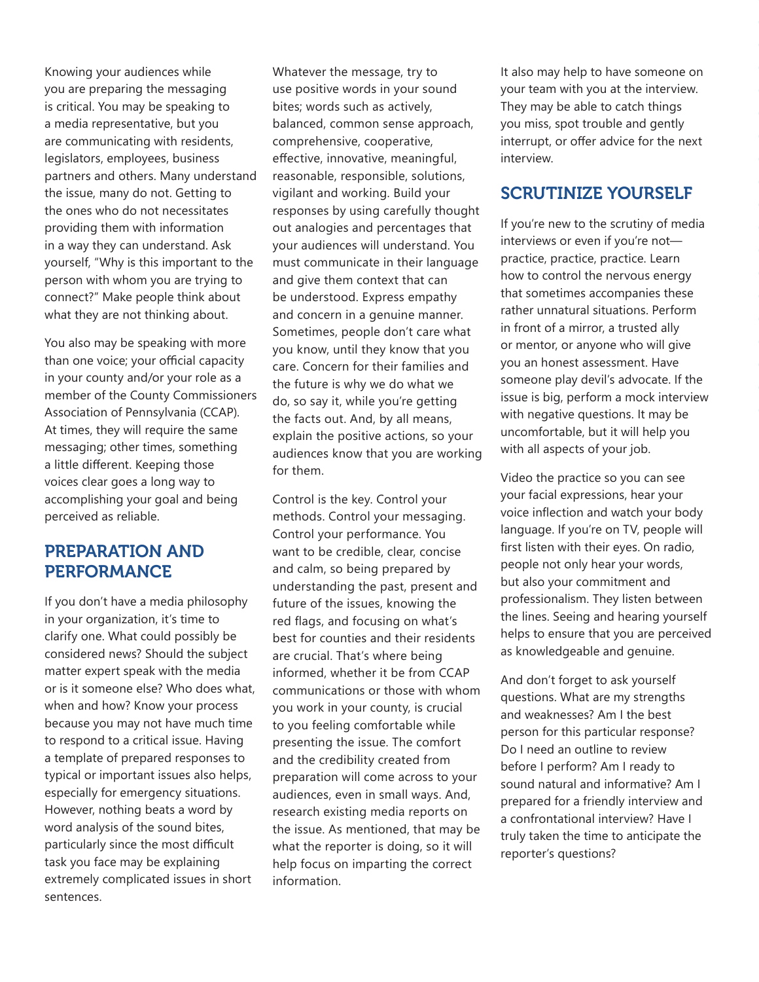Knowing your audiences while you are preparing the messaging is critical. You may be speaking to a media representative, but you are communicating with residents, legislators, employees, business partners and others. Many understand the issue, many do not. Getting to the ones who do not necessitates providing them with information in a way they can understand. Ask yourself, "Why is this important to the person with whom you are trying to connect?" Make people think about what they are not thinking about.

You also may be speaking with more than one voice; your official capacity in your county and/or your role as a member of the County Commissioners Association of Pennsylvania (CCAP). At times, they will require the same messaging; other times, something a little different. Keeping those voices clear goes a long way to accomplishing your goal and being perceived as reliable.

#### PREPARATION AND PERFORMANCE

If you don't have a media philosophy in your organization, it's time to clarify one. What could possibly be considered news? Should the subject matter expert speak with the media or is it someone else? Who does what, when and how? Know your process because you may not have much time to respond to a critical issue. Having a template of prepared responses to typical or important issues also helps, especially for emergency situations. However, nothing beats a word by word analysis of the sound bites, particularly since the most difficult task you face may be explaining extremely complicated issues in short sentences.

Whatever the message, try to use positive words in your sound bites; words such as actively, balanced, common sense approach, comprehensive, cooperative, effective, innovative, meaningful, reasonable, responsible, solutions, vigilant and working. Build your responses by using carefully thought out analogies and percentages that your audiences will understand. You must communicate in their language and give them context that can be understood. Express empathy and concern in a genuine manner. Sometimes, people don't care what you know, until they know that you care. Concern for their families and the future is why we do what we do, so say it, while you're getting the facts out. And, by all means, explain the positive actions, so your audiences know that you are working for them.

Control is the key. Control your methods. Control your messaging. Control your performance. You want to be credible, clear, concise and calm, so being prepared by understanding the past, present and future of the issues, knowing the red flags, and focusing on what's best for counties and their residents are crucial. That's where being informed, whether it be from CCAP communications or those with whom you work in your county, is crucial to you feeling comfortable while presenting the issue. The comfort and the credibility created from preparation will come across to your audiences, even in small ways. And, research existing media reports on the issue. As mentioned, that may be what the reporter is doing, so it will help focus on imparting the correct information.

It also may help to have someone on your team with you at the interview. They may be able to catch things you miss, spot trouble and gently interrupt, or offer advice for the next interview.

#### SCRUTINIZE YOURSELF

If you're new to the scrutiny of media interviews or even if you're not practice, practice, practice. Learn how to control the nervous energy that sometimes accompanies these rather unnatural situations. Perform in front of a mirror, a trusted ally or mentor, or anyone who will give you an honest assessment. Have someone play devil's advocate. If the issue is big, perform a mock interview with negative questions. It may be uncomfortable, but it will help you with all aspects of your job.

Video the practice so you can see your facial expressions, hear your voice inflection and watch your body language. If you're on TV, people will first listen with their eyes. On radio, people not only hear your words, but also your commitment and professionalism. They listen between the lines. Seeing and hearing yourself helps to ensure that you are perceived as knowledgeable and genuine.

And don't forget to ask yourself questions. What are my strengths and weaknesses? Am I the best person for this particular response? Do I need an outline to review before I perform? Am I ready to sound natural and informative? Am I prepared for a friendly interview and a confrontational interview? Have I truly taken the time to anticipate the reporter's questions?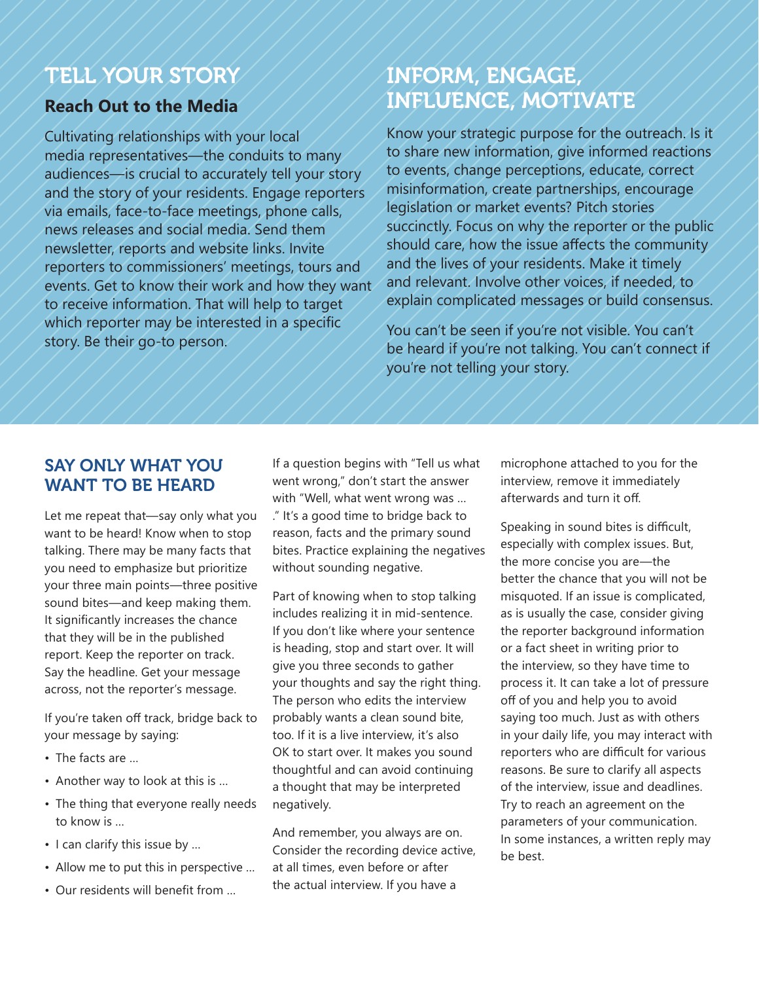## TELL YOUR STORY

#### **Reach Out to the Media**

Cultivating relationships with your local media representatives—the conduits to many audiences—is crucial to accurately tell your story and the story of your residents. Engage reporters via emails, face-to-face meetings, phone calls, news releases and social media. Send them newsletter, reports and website links. Invite reporters to commissioners' meetings, tours and events. Get to know their work and how they want to receive information. That will help to target which reporter may be interested in a specific story. Be their go-to person.

# INFORM, ENGAGE, INFLUENCE, MOTIVATE

Know your strategic purpose for the outreach. Is it to share new information, give informed reactions to events, change perceptions, educate, correct misinformation, create partnerships, encourage legislation or market events? Pitch stories succinctly. Focus on why the reporter or the public should care, how the issue affects the community and the lives of your residents. Make it timely and relevant. Involve other voices, if needed, to explain complicated messages or build consensus.

You can't be seen if you're not visible. You can't be heard if you're not talking. You can't connect if you're not telling your story.

#### SAY ONLY WHAT YOU WANT TO BE HEARD

Let me repeat that—say only what you want to be heard! Know when to stop talking. There may be many facts that you need to emphasize but prioritize your three main points—three positive sound bites—and keep making them. It significantly increases the chance that they will be in the published report. Keep the reporter on track. Say the headline. Get your message across, not the reporter's message.

If you're taken off track, bridge back to your message by saying:

- The facts are …
- Another way to look at this is …
- The thing that everyone really needs to know is …
- I can clarify this issue by …
- Allow me to put this in perspective …
- Our residents will benefit from …

If a question begins with "Tell us what went wrong," don't start the answer with "Well, what went wrong was … ." It's a good time to bridge back to reason, facts and the primary sound bites. Practice explaining the negatives without sounding negative.

Part of knowing when to stop talking includes realizing it in mid-sentence. If you don't like where your sentence is heading, stop and start over. It will give you three seconds to gather your thoughts and say the right thing. The person who edits the interview probably wants a clean sound bite, too. If it is a live interview, it's also OK to start over. It makes you sound thoughtful and can avoid continuing a thought that may be interpreted negatively.

And remember, you always are on. Consider the recording device active, at all times, even before or after the actual interview. If you have a

microphone attached to you for the interview, remove it immediately afterwards and turn it off.

Speaking in sound bites is difficult, especially with complex issues. But, the more concise you are—the better the chance that you will not be misquoted. If an issue is complicated, as is usually the case, consider giving the reporter background information or a fact sheet in writing prior to the interview, so they have time to process it. It can take a lot of pressure off of you and help you to avoid saying too much. Just as with others in your daily life, you may interact with reporters who are difficult for various reasons. Be sure to clarify all aspects of the interview, issue and deadlines. Try to reach an agreement on the parameters of your communication. In some instances, a written reply may be best.